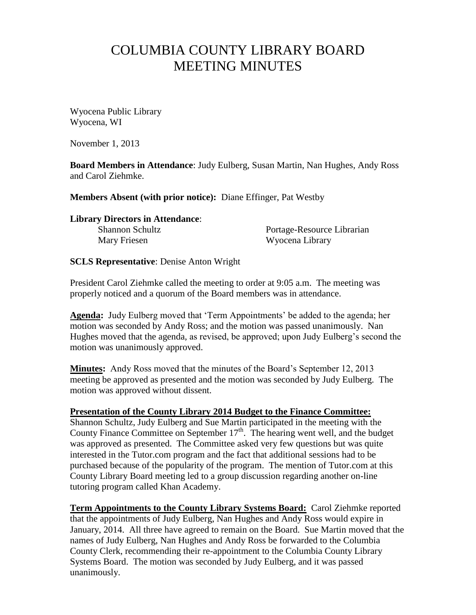## COLUMBIA COUNTY LIBRARY BOARD MEETING MINUTES

Wyocena Public Library Wyocena, WI

November 1, 2013

**Board Members in Attendance**: Judy Eulberg, Susan Martin, Nan Hughes, Andy Ross and Carol Ziehmke.

**Members Absent (with prior notice):** Diane Effinger, Pat Westby

**Library Directors in Attendance**: Shannon Schultz **Portage-Resource Librarian** Mary Friesen Wyocena Library

**SCLS Representative**: Denise Anton Wright

President Carol Ziehmke called the meeting to order at 9:05 a.m. The meeting was properly noticed and a quorum of the Board members was in attendance.

**Agenda:** Judy Eulberg moved that 'Term Appointments' be added to the agenda; her motion was seconded by Andy Ross; and the motion was passed unanimously. Nan Hughes moved that the agenda, as revised, be approved; upon Judy Eulberg's second the motion was unanimously approved.

**Minutes:** Andy Ross moved that the minutes of the Board's September 12, 2013 meeting be approved as presented and the motion was seconded by Judy Eulberg. The motion was approved without dissent.

## **Presentation of the County Library 2014 Budget to the Finance Committee:**

Shannon Schultz, Judy Eulberg and Sue Martin participated in the meeting with the County Finance Committee on September  $17<sup>th</sup>$ . The hearing went well, and the budget was approved as presented. The Committee asked very few questions but was quite interested in the Tutor.com program and the fact that additional sessions had to be purchased because of the popularity of the program. The mention of Tutor.com at this County Library Board meeting led to a group discussion regarding another on-line tutoring program called Khan Academy.

**Term Appointments to the County Library Systems Board:** Carol Ziehmke reported that the appointments of Judy Eulberg, Nan Hughes and Andy Ross would expire in January, 2014. All three have agreed to remain on the Board. Sue Martin moved that the names of Judy Eulberg, Nan Hughes and Andy Ross be forwarded to the Columbia County Clerk, recommending their re-appointment to the Columbia County Library Systems Board. The motion was seconded by Judy Eulberg, and it was passed unanimously.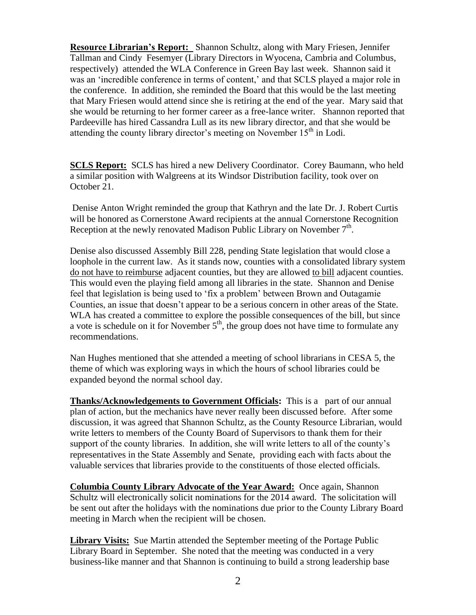**Resource Librarian's Report:** Shannon Schultz, along with Mary Friesen, Jennifer Tallman and Cindy Fesemyer (Library Directors in Wyocena, Cambria and Columbus, respectively) attended the WLA Conference in Green Bay last week. Shannon said it was an 'incredible conference in terms of content,' and that SCLS played a major role in the conference. In addition, she reminded the Board that this would be the last meeting that Mary Friesen would attend since she is retiring at the end of the year. Mary said that she would be returning to her former career as a free-lance writer. Shannon reported that Pardeeville has hired Cassandra Lull as its new library director, and that she would be attending the county library director's meeting on November  $15<sup>th</sup>$  in Lodi.

**SCLS Report:** SCLS has hired a new Delivery Coordinator. Corey Baumann, who held a similar position with Walgreens at its Windsor Distribution facility, took over on October 21.

Denise Anton Wright reminded the group that Kathryn and the late Dr. J. Robert Curtis will be honored as Cornerstone Award recipients at the annual Cornerstone Recognition Reception at the newly renovated Madison Public Library on November  $7<sup>th</sup>$ .

Denise also discussed Assembly Bill 228, pending State legislation that would close a loophole in the current law. As it stands now, counties with a consolidated library system do not have to reimburse adjacent counties, but they are allowed to bill adjacent counties. This would even the playing field among all libraries in the state. Shannon and Denise feel that legislation is being used to 'fix a problem' between Brown and Outagamie Counties, an issue that doesn't appear to be a serious concern in other areas of the State. WLA has created a committee to explore the possible consequences of the bill, but since a vote is schedule on it for November  $5<sup>th</sup>$ , the group does not have time to formulate any recommendations.

Nan Hughes mentioned that she attended a meeting of school librarians in CESA 5, the theme of which was exploring ways in which the hours of school libraries could be expanded beyond the normal school day.

**Thanks/Acknowledgements to Government Officials:** This is a part of our annual plan of action, but the mechanics have never really been discussed before. After some discussion, it was agreed that Shannon Schultz, as the County Resource Librarian, would write letters to members of the County Board of Supervisors to thank them for their support of the county libraries. In addition, she will write letters to all of the county's representatives in the State Assembly and Senate, providing each with facts about the valuable services that libraries provide to the constituents of those elected officials.

**Columbia County Library Advocate of the Year Award:** Once again, Shannon Schultz will electronically solicit nominations for the 2014 award. The solicitation will be sent out after the holidays with the nominations due prior to the County Library Board meeting in March when the recipient will be chosen.

**Library Visits:** Sue Martin attended the September meeting of the Portage Public Library Board in September. She noted that the meeting was conducted in a very business-like manner and that Shannon is continuing to build a strong leadership base